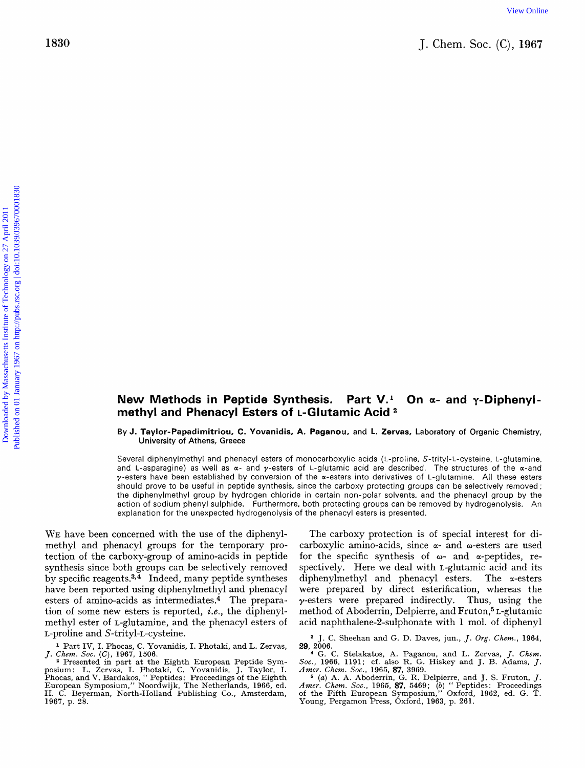## **New Methods in Peptide Synthesis. methyl and Phenacyl Esters of L-Glutamic Acid Part V.**<sup>1</sup> On  $\alpha$ - and  $\gamma$ -Diphenyl-[View Online](http://dx.doi.org/10.1039/j39670001830)<br>Downloaded by Massachusetts Institute of Technology of Technology<br>2011 Published on 27 April 2011 Published on 27 April 2012<br>2013 - The Company of Technology of Technology of Technology of Technology of Techno

## **By J. Taylor-Papadimitriou, C. Yovanidis, A. Paganou, and L. Zervas, Laboratory of Organic Chemistry, University** of **Athens, Greece**

Several diphenylmethyl and phenacyl esters of monocarboxylic acids (L-proline, S-trityl-L-cysteine, L-glutamine, and L-asparagine) as well as  $\alpha$ - and y-esters of L-glutamic acid are described. The structures of the  $\alpha$ -and  $y$ -esters have been established by conversion of the  $\alpha$ -esters into derivatives of L-glutamine. All these esters should prove to be useful in peptide synthesis, since the carboxy protecting groups can be selectively removed ; the diphenylmethyl group by hydrogen chloride in certain non-polar solvents, and the phenacyl group by the action of sodium phenyl sulphide. Furthermore, both protecting groups can be removed by hydrogenolysis. An explanation for the unexpected hydrogenolysis of the phenacyl esters is presented.

WE have been concerned with the use of the diphenylmethyl and phenacyl groups for the temporary protection of the carboxy-group of amino-acids in peptide synthesis since both groups can be selectively removed by specific reagents. $3,4$  Indeed, many peptide syntheses have been reported using diphenylmethyl and phenacyl esters of amino-acids as intermediates.<sup>4</sup> The preparation of some new esters is reported, *i.e.,* the diphenylmethyl ester of L-glutamine, and the phenacyl esters of L-proline and S-trityl-L-cysteine.

The carboxy protection is of special interest for dicarboxylic amino-acids, since *a-* and westers are used for the specific synthesis of **w-** and a-peptides, respectively. Here we deal with L-glutamic acid and its diphenylmethyl and phenacyl esters. The  $\alpha$ -esters were prepared by direct esterification, whereas the  $\gamma$ -esters were prepared indirectly. Thus, using the method of Aboderrin, Delpierre, and Fruton,<sup>5</sup> L-glutamic acid **naphthalene-2-sulphonate** with **1** mol. of diphenyl

J. *C.* Sheehan and G. D. Daves, jun., *J. Org. Chem.,* **1964,** 

**29, 2006. <sup>4</sup>**G. *C.* Stelakatos, A. Paganou, and L. Zervas, *J. Claem.*  **SOC., 1966, 1191; cf.** also **R.** G. Hiskey and J. B. Adams, *J.*  Soc., **1966, 1191**; cf. also R. G. Hiskey and J. B. Adams, J. Amer. Chem. Soc., 1965, 87, 3969.

 $^{5}$  (a) A. A. Aboderrin, G. R. Delpierre, and J. S. Fruton, J. Amer. Chem. Soc., 1965, 87, 5469; (b) "Peptides: Proceedings of the Fifth European Symposium," Oxford, 1962, ed. G. T. Young, Pergamon Press, Oxford, **1963,** p. **261.** 

<sup>&</sup>lt;sup>1</sup> Part IV, I. Phocas, C. Yovanidis, I. Photaki, and L. Zervas, *J. Chem. Soc.* (C), 1967, 1506.<br><sup>2</sup> Presented in part at the Eighth European Peptide Symposium: L. Zervas, I. Phocas, M. Position, C. Yovanidis, J. Taylor, H. **C.** Beyerman, North-Holland Publishing Co., Amsterdam, **1967, p. 28.**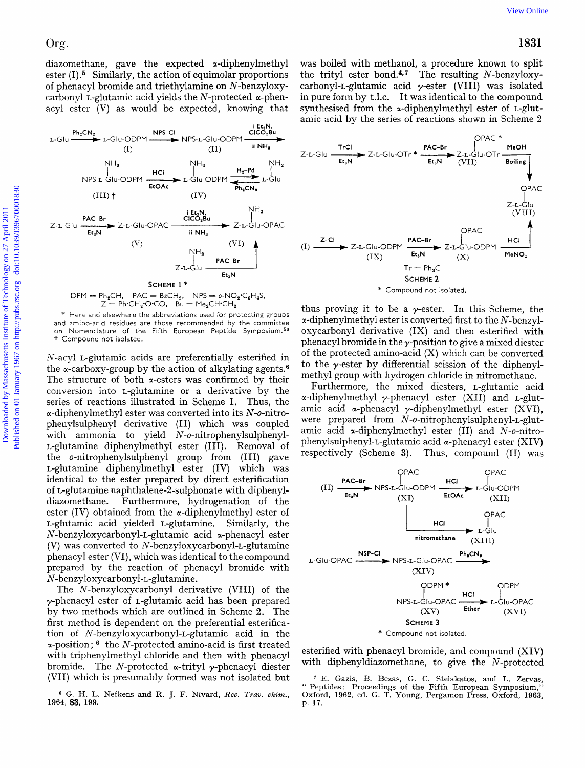was boiled with methanol, a procedure known to split the trityl ester bond.<sup>4,7</sup> The resulting N-benzyloxycarbonyl-L-glutamic acid  $\gamma$ -ester (VIII) was isolated in pure form by t.1.c. It was identical to the compound synthesised from the  $\alpha$ -diphenylmethyl ester of *L*-glutamic acid by the series of reactions shown in Scheme **2** 



thus proving it to be a  $\gamma$ -ester. In this Scheme, the  $\alpha$ -diphenylmethyl ester is converted first to the N-benzyloxycarbonyl derivative (IX) and then esterified with phenacyl bromide in the  $\gamma$ -position to give a mixed diester of the protected amino-acid  $(X)$  which can be converted to the  $\gamma$ -ester by differential scission of the diphenylmethyl group with hydrogen chloride in nitromethane.

Furthermore, the mixed diesters, L-glutamic acid  $\alpha$ -diphenylmethyl  $\gamma$ -phenacyl ester (XII) and L-glutamic acid  $\alpha$ -phenacyl  $\gamma$ -diphenylmethyl ester (XVI), were prepared from **N-o-nitrophenylsulphenyl-L-glut**amic acid  $\alpha$ -diphenylmethyl ester (II) and N-o-nitrophenylsulphenyl-L-glutamic acid a-phenacyl ester (XIV) respectively (Scheme **3).** Thus, compound (11) was



esterified with phenacyl bromide, and compound (XIV) with diphenyldiazomethane, to give the N-protected

diazomethane, gave the expected  $\alpha$ -diphenylmethyl ester (I) **.5** Similarly, the action of equimolar proportions of phenacyl bromide and triethylamine on N-benzyloxycarbonyl L-glutamic acid yields the N-protected  $\alpha$ -phenacyl ester (V) as would be expected, knowing that L-Glu  $\frac{\text{Ph}_2\text{CN}_2}{\text{N}}$  and the expected  $\alpha$ -diphenylmethy<br>
ster (I).<sup>5</sup> Similarly, the action of equimolar proportions<br>
f phenacyl bromide and triethylamine on N-benzyloxy<br>
arbonyl L-glutamic acid yields the N-pr



\* Rere and elsewhere the abbreviations used for protecting groups and amino-acid residues are those recommended by the committee on Nomenclature of the Fifth European Peptide Symposium.<sup>5a</sup> t Compound not isolated.

N-acyl L-glutamic acids are preferentially esterified in the  $\alpha$ -carboxy-group by the action of alkylating agents.<sup>6</sup> The structure of both  $\alpha$ -esters was confirmed by their conversion into L-glutamine or a derivative by the series of reactions illustrated in Scheme **1.** Thus, the a-diphenylmethyl ester was converted into its N-o-nitrophenylsulphenyl derivative (11) which was coupled with ammonia to yield N-o-nitrophenylsulphenyl-L-glutamine diphenylmethyl ester (111). Removal of the o-nitrophenylsulphenyl group from (111) gave  $L$ -glutamine diphenylmethyl ester  $(IV)$  which was identical to the ester prepared by direct esterification of L-glutamine naphthalene-2-sulphonate with diphenyldiazomethane. Furthermore, hydrogenation of the ester (IV) obtained from the  $\alpha$ -diphenylmethyl ester of L-glutamic acid yielded L-glutamine. Similarly, the N-benzyloxycarbonyl-L-glutamic acid a-phenacyl ester (V) was converted to N-benzyloxycarbonyl-L-glutamine phenacyl ester (VI), which was identical to the compound prepared by the reaction of phenacyl bromide with  $N$ -benzyloxycarbonyl-L-glut amine.

The N-benzyloxycarbonyl derivative (VIII) of the y-phenacyl ester of L-glutamic acid has been prepared by two methods which are outlined in Scheme **2.** The first method is dependent on the preferential esterification of N-benzyloxycarbonyl-L-glutamic acid in the  $\alpha$ -position;  $\epsilon$  the N-protected amino-acid is first treated with triphenylmethyl chloride and then with phenacyl bromide. The N-protected  $\alpha$ -trityl  $\gamma$ -phenacyl diester (VII) which is presumably formed was not isolated but

G. H. L. Neflrens and R. J. F. Nivard, *Rec. Trav. chim.,*  **1964, 83, 199.** 

**<sup>7</sup>**E. Gazis, B. Bezas, G. *C.* Stelakatos, and L. Zervas, " Peptides: Proceedings of the Fifth European Symposium, Oxford, **1962,** ed. G. **T.** Young, Pergamon Press, Oxford, **1963, p. 17.**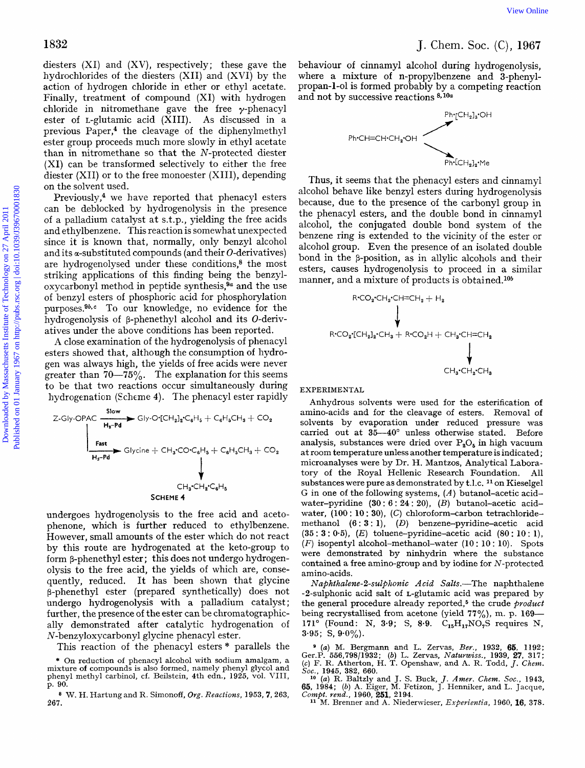diesters  $(XI)$  and  $(XV)$ , respectively; these gave the hydrochlorides of the diesters (XII) and (XVI) by the action of hydrogen chloride in ether or ethyl acetate. Finally, treatment of compound (XI) with hydrogen chloride in nitromethane gave the free  $\gamma$ -phenacyl ester of L-glutamic acid (XIII). As discussed in a previous Paper,4 the cleavage of the diphenylmethyl ester group proceeds much more slowly in ethyl acetate than in nitromethane so that the N-protected diester (XI) can be transformed selectively to either the free diester (XII) or to the free monoester (XIII), depending on the solvent used.

Previously, $4$  we have reported that phenacyl esters can be deblocked by hydrogenolysis in the presence of a palladium catalyst at s.t.p., yielding the free acids and ethylbenzene. This reaction is somewhat unexpected since it is known that, normally, only benzyl alcohol and its  $\alpha$ -substituted compounds (and their O-derivatives) are hydrogenolysed under these conditions, $\delta$  the most striking applications of this finding being the benzyloxycarbonyl method in peptide synthesis, $9a$  and the use of benzyl esters of phosphoric acid for phosphorylation purposes. $9b, c$  To our knowledge, no evidence for the hydrogenolysis of  $\beta$ -phenethyl alcohol and its *O*-derivatives under the above conditions has been reported. Vest Online 1832<br>
Buchters (X1) and (XV), respectively; these gave the behaviour of cianary<br>1 Dydenological on the distance of N11 and (XVi) by the where a mixture of neproprienes<br>period dominal entropy charges and althou

**A** close examination of the hydrogenolysis of phenacyl esters showed that, although the consumption of hydrogen was always high, the yields of free acids were never greater than  $70-75\%$ . The explanation for this seems to be that two reactions occur simultaneously during hydrogenation (Scheme **4).** The phenacyl ester rapidly

| Slow<br>$\frac{1}{1}$ -Gly-OPAC $\longrightarrow$ Gly-O $\cdot$ [CH <sub>2</sub> ] <sub>2</sub> -C <sub>6</sub> H <sub>5</sub> + C <sub>6</sub> H <sub>5</sub> CH <sub>3</sub> + CO <sub>2</sub> |
|--------------------------------------------------------------------------------------------------------------------------------------------------------------------------------------------------|
| Fast<br>$\rightarrow$ Glycine + CH <sub>3</sub> -CO-C <sub>6</sub> H <sub>5</sub> + C <sub>6</sub> H <sub>5</sub> CH <sub>3</sub> + CO <sub>2</sub><br>$Ha-Pd$                                   |
| CH, CH, C, H,                                                                                                                                                                                    |
| <b>SCHEME 4</b>                                                                                                                                                                                  |

undergoes hydrogenolysis to the free acid and acetophenone, which is further reduced to ethylbenzene. However, small amounts of the ester which do not react by this route are hydrogenated at the keto-group to form p-phenethyl ester ; this does not undergo hydrogenolysis to the free acid, the yields of which are, consequently, reduced. It has been shown that glycine p-phenethyl ester (prepared synthetically) does not undergo hydrogenolysis with a palladium catalyst ; further, the presence of the ester can be chromatographically demonstrated after catalytic hydrogenation of N-benzyloxycarbonyl glycine phenacyl ester.

This reaction of the phenacyl esters \* parallels the

behaviour of cinnamyl alcohol during hydrogenolysis, where a mixture of n-propylbenzene and S-phenylpropan-1-01 is formed probably by a competing reaction and not by successive reactions  $8,10a$ 



Thus, it seems that the phenacyl esters and cinnamyl alcohol behave like benzyl esters during hydrogenolysis because, due to the presence of the carbonyl group in the phenacyl esters, and the double bond in cinnamyl alcohol, the conjugated double bond system of the benzene ring is extended to the vicinity of the ester or alcohol group. Even the presence of an isolated double bond in the  $\beta$ -position, as in allylic alcohols and their esters, causes hydrogenolysis to proceed in a similar manner, and a mixture of products is obtained.<sup>106</sup>



## **EXPERIMENTAL**

Anhydrous solvents were used for the esterification of amino-acids and for the cleavage of esters, Removal **of**  solvents by evaporation under reduced pressure was carried out at **35-40'** unless otherwise stated. Before analysis, substances were dried over  $P_2O_5$  in high vacuum at room temperature unless another temperature is indicated ; microanalyses were by Dr. H. Mantzos, Analytical Laboratory of the Royal Hellenic Research Foundation. All substances were pure as demonstrated by  $t.l.c.$  <sup>11</sup> on Kieselgel G in one of the following systems, *(A)* butanol-acetic acidwater-pyridine **(30** : 6 : 24 : 20), *(B)* butanol-acetic acidwater,  $(100:10:30)$ ,  $(C)$  chloroform-carbon tetrachloridemethanol **(6** : **3** : **l),** *(D)* benzene-pyridine-acetic acid **(35** : **3** : *0-5), (E)* toluene-pyridine-acetic acid (80 : **10** : **l),**  *(F)* isopentyl alcohol-methanol-water **(10** : **10** : **10).** Spots were demonstrated by ninhydrin where the substance contained a free amino-group and by iodine for N-protected amino-acids.

*Naphthalene-2-sulphonic Acid Salts.*-The naphthalene -2-sulphonic acid salt of L-glutamic acid was prepared by the general procedure already reported,<sup>5</sup> the crude *product* being recrystallised from acetone (yield **77%),** m. **p. 169- 171'** (Found: N, **3.9;** S, **8.9.** C,,H1,NO,S requires N,  $3.95; S, 9.0\%$ ).

<sup>9</sup> (a) M. Bergmann and L. Zervas, Ber., 1932, 65, 1192;<br>Ger.P. 556,798/1932; (b) L. Zervas, Naturwiss., 1939, 27, 317;<br>(c) F. R. Atherton, H. T. Openshaw, and A. R. Todd, J. Chem.

Soc., 1945, 382, 660.<br>
<sup>10</sup> (a) R. Baltzly and J. S. Buck, *J. Amer. Chem. Soc.*, 1943, 65, 1984; (b) A. Eiger, M. Fetizon, J. Henniker, and L. Jacque,  $\mathcal{C}_{omp1}$ , *tend.*, 1960, **251**, 2194.<br>
<sup>11</sup> M. Brenner and A. Nied

<sup>\*</sup> On reduction of phenacyl alcohol with sodium amalgam, a mixture **of** compounds is also formed, namely phenyl glycol and phenyl methyl carbinol, cf. Beilstein, 4th edn., **1925,** vol. VIII, p. **90.** 

W. H. Hartung and R. Simonoff, *Org. Reactions,* **1953,7,263, 267.**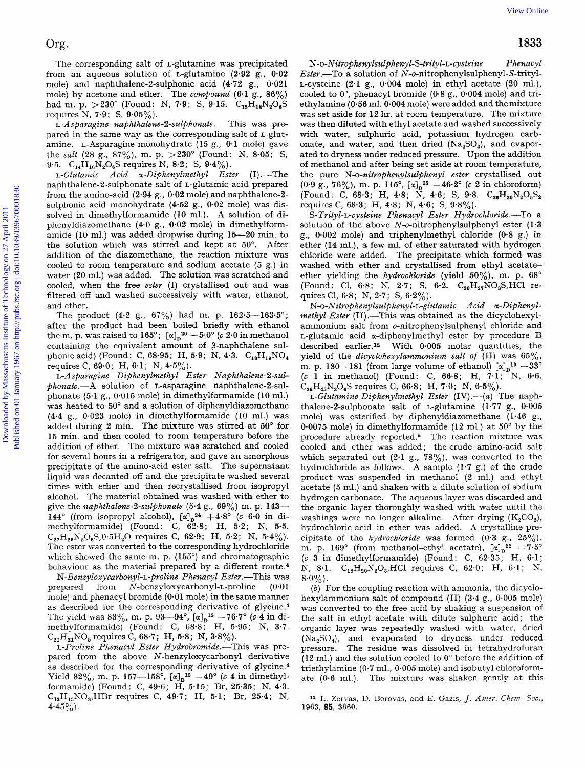The corresponding salt of L-glutamine was precipitated from an aqueous solution of L-glutamine **(2.92** g., 0.02 mole) and naphthalene-2-sulphonic acid **(4.72** g., **0.021**  mole) by acetone and ether. The compound **(6.1** *g.,* **86%)**  had m. p.  $>230^{\circ}$  (Found: N, 7.9; S, 9.15.  $C_{15}H_{18}N_2O_6S$ requires N,  $7.9$ ; S,  $9.05\%$ ).

This was prepared in the same way as the corresponding salt of L-glutamine. L-Asparagine monohydrate **(15** g., **0.1** mole) gave the salt **(28** *g.,* **87%),** m. p. **>230"** (Found: N, **8-05;** S, **9-5.** C14Hl,N20,S requires N, **8.2;** S, **9.4%).**  L-A sparagine *naphthalene-2-sulphonate.* 

 $L$ -Glutamic Acid  $\alpha$ -Diphenylmethyl Ester (I).—The **naphthalene-2-sulphonate** salt of L-glutamic acid prepared from the amino-acid **(2-94** g., 0-02 mole) and naphthalene-2 sulphonic acid monohydrate **(4.52** g., **0.02** mole) was dissolved in dimethylformamide **(10** ml.). **A** solution of diphenyldiazomethane **(4.0** g., **0.02** mole) in dimethylformamide **(10** ml.) was added dropwise during **15-20** min. to the solution which was stirred and kept at *50".* After addition of the diazomethane, the reaction mixture was cooled to room temperature and sodium acetate (5 g.) in water (20 ml.) was added. The solution was scratched and cooled, when the free ester (I) crystallised out and was filtered off and washed successively with water, ethanol, and ether.

The product **(4-2** g., **67%)** had m. p. **162-5-163.5";**  after the product had been boiled briefly with ethanol the m. p. was raised to  $165^\circ$ ;  $\left[\alpha\right]_0^{20} - 5.0^\circ$  (c 2.0 in methanol containing the equivalent amount of  $\beta$ -naphthalene sulphonic acid) (Found: C, 68.95; H, 5.9; N, 4.3. C<sub>18</sub>H<sub>19</sub>NO<sub>4</sub> requires C, **69.0;** H, **6.1;** N, **4\*50/,).** 

L-Asparagine Diphenylmethyl Ester Naphthalene-2-sul $phonate$ . Solution of L-asparagine naphthalene-2-sulphonate **(5.1** *g.,* **0.015** mole) in dimethylformamide **(10** ml.) was heated to *50"* and a solution of diphenyldiazomethane **(4.4** g., **0.023** mole) in dimethylformamide **(10** ml.) was added during **2** min. The mixture was stirred at *50"* for 15 min. and then cooled to room temperature before the addition of ether. The mixture was scratched and cooled for several hours in a refrigerator, and gave an amorphous precipitate of the amino-acid ester salt. The supernatant liquid was decanted off and the precipitate washed several times with ether and then recrystallised from isopropyl alcohol. The material obtained was washed with ether to give the *naphthalene-2-sulphonate* **(5.4** *g.,* **69%)** m. p. **143- 144°** (from isopropyl alcohol),  $[\alpha]_p^{24} + 4.8^{\circ}$  (c 6.0 in dimethylformamide) (Found: C, **62.8;** H, **5.2;** N, *5.5.*  C2,H,,N,0,S,0.5H20 requires C, **62.9;** H, 5.2; N, **5.4%).**  The ester was converted to the corresponding hydrochloride which showed the same m. p. **(155")** and chromatographic behaviour as the material prepared by a different route.4

*N-Benzyloxycarbonyl-L-proline* Phenacyl Ester.-This was prepared from N-benzyloxycarbonyl-L-proline (0.01 mole) and phenacyl bromide **(0.01** mole) in the same manner as described for the corresponding derivative of glycine.\* The yield was  $83\%$ , m. p.  $93-94^{\circ}$ ,  $[\alpha]_0^{15} -76.7^{\circ}$  (c 4 in dimethylformamide) (Found: C, **68.8;** H, **5-95;** N, **3.7.**  C<sub>21</sub>H<sub>21</sub>NO<sub>5</sub> requires C, 68.7; H, 5.8; N, 3.8%).

L-Proline Phenacyl Ester Hydrobromide.--This was prepared from the above N-benzyloxycarbonyl derivative as described for the corresponding derivative of glycine.<sup>4</sup> Yield  $82\%$ , m. p. 157—158<sup>°</sup>,  $[\alpha]_n^{15} - 49^\circ$  (c 4 in dimethylformamide) (Found: C, **49-6;** H, **5.15; Br, 25-35:** N, **4-3.**  C,,H,,NO,,HBr requires C, **49.7;** H, **5.1;** Br, **25.4;** N,  $4.45\%$ .

*N-o-Nitrophenylsulphenyl-S-trityl-L-cysteine* Phenacyl Ester.—To a solution of N-o-nitrophenylsulphenyl-S-trityl-L-cysteine **(2-1** g., **0.004** mole) in ethyl acetate **(20** ml.), cooled to O", phenacyl bromide *(0.8* **g., 0.004** mole) and triethylamine **(0.56** ml. **0.004** mole) were added and the mixture was set aside for **12** hr. at room temperature. The mixture was then diluted with ethyl acetate and washed successively with water, sulphuric acid, potassium hydrogen carbonate, and water, and then dried  $(Na<sub>2</sub>SO<sub>4</sub>)$ , and evaporated to dryness under reduced pressure. Upon the addition of methanol and after being set aside at room temperature, the pure *N-o-nitrophenylsulphenyl* ester crystallised out **(0.9** g., **76%),** m. **p. 115", [ct],15 -46.2"** (c **2** in chloroform) (Found: C, **68.3;** H, **4.8;** N, **4.6; S, 9.8.** C3,H3,N205S2 requires C, **68.3;** H, **4.8;** N, **4-6;** S, **9.8%).**  Org.<br>
The corresponding salt of Legitamians was precipitated No o-Ninephenyiani/shear/S-iright-ryisting Parameter of Technology on the corresponding of Technology on the corresponding of Technology of Technology of Techno

S-Trityl-L-cysteine Phenacyl Ester Hydrochloride.-To a solution of the above **N-o-nitrophenylsulphenyl** ester **(1.3**  g., 0.002 mole) and triphenylmethyl chloride **(0.8** g.) in ether **(14** ml.), a few ml. of ether saturated with hydrogen chloride were added. The precipitate which formed was washed with ether and crystalhed from ethyl acetateether yielding the hydrochloride (yield **50%),** m. p. **68"**  (Found: C1, **6.8;** N, **2-7;** S, **6.2,** C,,H,,NO,S,HCl requires Cl, **6.8;** N, **2.7;** S, **6.2%).** 

*N-o-Nitrophenylsul~henyl-~-glutamic Acid* u-Diphenylmethyl Ester  $(II)$ .-This was obtained as the dicyclohexylammonium salt from o-nitrophenylsulphenyl chloride and L-glutamic acid a-diphenylmethyl ester by procedure B described earlier.12 With 0.005 molar quantities, the yield of the dicyclohexylammonium salt of (II) was  $65\%$ , m. p. 180—181 (from large volume of ethanol)  $[\alpha]_D^{-19} -33^\circ$ *(c* **1** in methanol) (Found: C, **66.8;** H, **7.1;** N, **6.6.**  C,,H,,N,O,S requires c, **66.8;** H, **7.0;** N, **6.5%).** 

L-Glutamine Diphenylmethyl Ester (IV).--(a) The naphthalene-2-sulphonate salt of L-glutamine **(1-77 g.,** *0.005*  mole) was esterified by diphenyldiazomethane **(1.46** g., **0.0075** mole) in dimethylformamide **(12** ml.) at **50"** by the procedure already reported.5 The reaction mixture was cooled and ether was added; the crude amino-acid salt which separated out  $(2.1 \text{ g}, 78\%)$ , was converted to the hydrochloride as follows. A sample **(1.7** g.) of the crude product was suspended in methanol **(2** ml.) and ethyl acetate *(5* ml.) and shaken with a dilute solution of sodium hydrogen carbonate. The aqueous layer was discarded and the organic layer thoroughly washed with water until the washings were no longer alkaline. After drying  $(K_2CO_3)$ , hydrochloric acid in ether was added. **A** crystalline precipitate of the *hydrochloride* was formed  $(0.3 \text{ g.}, 25\%)$ , m. p. 169° (from methanol-ethyl acetate),  $[\alpha]_p^{22}$  -7.5° (c **3** in dimethylformamide) (Found: C, **62-35;** H, **6.1;**  N, **8.1.** Cl,H,,N20,,HCl requires C, *62.0;* H, **6-1;** N, *8.0%).* 

*(b)* For the coupling reaction with ammonia, the dicyclohexylammonium salt of compound (11) **(3.4** *g., 0.005* mole) was converted to the free acid by shaking a suspension of the salt in ethyl acetate with dilute sulphuric acid; the organic layer was repeatedly washed with water, dried  $(Na<sub>2</sub>SO<sub>4</sub>)$ , and evaporated to dryness under reduced pressure. The residue was dissolved in tetrahydrofuran **(12** ml.) and the solution cooled to 0" before the addition of triethylamine **(0.7** ml., 0.005 mole) and isobutyl chloroformate **(0.6** ml.). The mixture was shaken gently at this

<sup>12</sup> L. Zervas, D. Borovas, and E. Gazis, *J. Amer. Chem. Soc.*, **1963, 85, 3660.**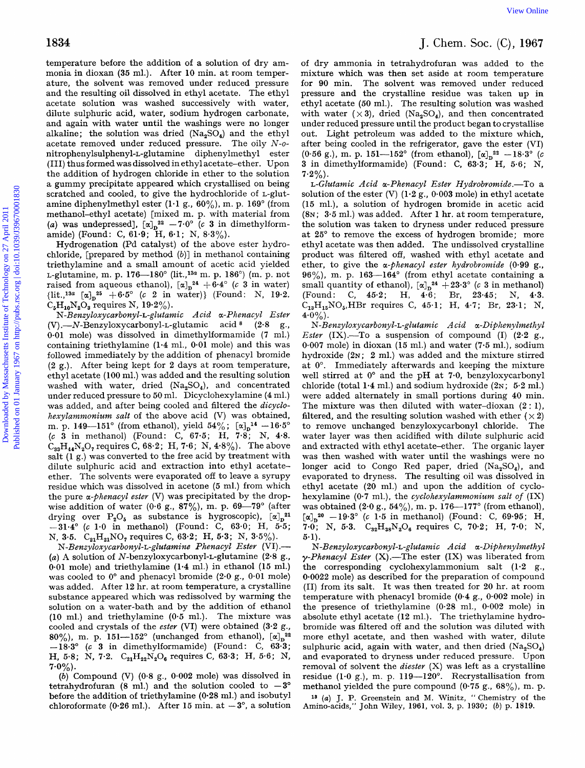temperature before the addition of a solution of dry ammonia in dioxan **(35** ml.). After **10** min. at room temperature, the solvent was removed under reduced pressure and the resulting oil dissolved in ethyl acetate. The ethyl acetate solution was washed successively with water, dilute sulphuric acid, water, sodium hydrogen carbonate, and again with water until the washings were no longer alkaline; the solution was dried  $(Na<sub>2</sub>SO<sub>4</sub>)$  and the ethyl acetate removed under reduced pressure. The oily *N-o***nitrophenylsulphenyl-L-glutamine** diphenylmethyl ester (111) thus formed was dissolved in ethyl acetate-ether. Upon the addition of hydrogen chloride in ether to the solution a gummy precipitate appeared which crystallised on being scratched and cooled, to give the hydrochloride of L-glutamine diphenylmethyl ester **(1-1** g., **SO%),** m. p. **169"** (from methanol-ethyl acetate) [mixed m. p. with material from (a) was undepressed],  $[\alpha]_D^{22}$  -7.0° (c 3 in dimethylformamide) (Found: C, **61.9;** H, **6.1;** N, **8.3%).**  View Oslow the addition of a solution of the particle of April 2011 Bureau of the solution of the mass and of the control of the control of the control of the mass and the results of the control of the mass and the contro

Hydrogenation (Pd catalyst) of the above ester hydrochloride, [prepared by method *(b)]* in methanol containing triethylamine and a small amount of acetic acid yielded L-glutamine, m. p. **176-180"** (lit.,13a m. p. **186')** (m. p. not raised from aqueous ethanol),  $[\alpha]_p^{24} + 6.4^\circ$  (c 3 in water)  $\{$ lit.,<sup>13a</sup>  $[\alpha]_p^{25}$  + 6.5° (c 2 in water)} (Found: N, 19.2.  $C_5H_{10}N_2O_3$  requires N,  $19.2\%$ ).

*N-Benzyloxycarbonyl-L-glutamic Acid a-Phenacyl Ester*  (V) .-*N*-Benzyloxycarbonyl-L-glutamic acid  $8$ **0.01** mole) was dissolved in dimethylformamide **(7** ml.) containing triethylamine **(1-4** ml., **0.01** mole) and this was followed immediately by the addition of phenacyl bromide **(2** *g.).* After being kept for **2** days at room temperature, ethyl acetate **(100** nil.) was added and the resulting solution washed with water, dried  $(Na<sub>2</sub>SO<sub>4</sub>)$ , and concentrated under reduced pressure to **50** ml. Dicyclohexylamine **(4** ml.) was added, and after being cooled and filtered the *dicyclohexylamvnonium salt* of the above acid *(V)* was obtained, m. p. **149-151"** (from ethanol), yield **54%;** *[a],14* **-16.5"**  *(c* **3** in methanol) (Found: C, **67.5;** H, **7-8;** N, **4.8.**  C,,H,,N,O, requires C, **68.2;** H, **7.6;** N, **4.8%).** The above salt **(1** g.) was converted to the free acid by treatment with dilute sulphuric acid and extraction into ethyl acetateether. The solvents were evaporated off to leave a syrupy residue which was dissolved in acetone (5 ml.) from which the pure *a-phenacyl ester (V)* was precipitated by the dropwise addition of water **(0.6 g., 87%),** m. p. **69-79"** (after drying over  $P_2O_5$  as substance is hygroscopic),  $[\alpha]_p^{21}$ **-31.4"** *(c* **1-0** in methanol) (Found: C, **63.0;** H, **5.5;**  N, **3-5.** C,,H,,NO, requires C, **63.2;** H, **6.3;** N, **3.5%).** 

*N-Benzyloxycarbonyl- L-glutamine Phenacyl Ester (VI)* .- *(a)* A solution of **N-benzyloxycarbonyl-L-glutamine (2.8** g., **0.01** mole) and triethylamine **(1.4** ml.) in ethanol **(15** ml.) was cooled to **0"** and phenacyl bromide **(2.0** *g.,* **0-01** mole) was added. After **12** hr. at room temperature, a crystalline substance appeared which was redissolved by warming the solution on a water-bath and by the addition of ethanol **(10** ml.) and triethylamine *(0.5* ml.). The mixture was cooled and crystals of the *ester (VI)* were obtained **(3.2** *g.,*  80%), m. p. 151—152° (unchanged from ethanol),  $[\alpha]_p^{22}$ **-18.3"** (c **3** in dimethylformamide) (Found: C, **63.3;**  H, 5.8; N, 7.2.  $C_{21}H_{22}N_2O_6$  requires C, 63.3; H, 5.6; N,  $7.0\%$ ).

*(b)* Compound (V) **(0-8** g., **0.002** mole) was dissolved in tetrahydrofuran  $(8 \text{ ml.})$  and the solution cooled to  $-3^{\circ}$ before the addition of triethylamine **(0.28** ml.) and isobutyl chloroformate  $(0.26 \text{ ml.})$ . After 15 min. at  $-3^{\circ}$ , a solution

## J. Chem. SOC. (C), **1967**

of dry ammonia in tetrahydrofuran was added to the mixture which was then set aside at room temperature for **90** min. The solvent was removed under reduced pressure and the crystalline residue was taken up in ethyl acetate (50 ml.). The resulting solution was washed with water  $(\times 3)$ , dried (Na<sub>2</sub>SO<sub>4</sub>), and then concentrated under reduced pressure until the product began to crystallise out. Light petroleum was added to the mixture which, after being cooled in the refrigerator, gave the ester *(VI)*   $(0.56 \text{ g.})$ , m. p.  $151 - 152^{\circ}$  (from ethanol),  $[\alpha]_D^{22} - 18.3^{\circ}$  (*c* **3** in dimethylformamide) (Found: C, **63.3;** H, **5.6;** N,  $7.2\%$ ).

L-Glutamic Acid *a-Phenacyl Ester Hydrobromide*.-To a solution of the ester (V) **(1.2** g., **0-003** mole) in ethyl acetate **(15** ml.), a solution of hydrogen bromide in acetic acid **(SN; 3.5** ml.) was added. After **1** hr. at room temperature, the solution was taken to dryness under reduced pressure at **25"** to remove the excess of hydrogen bromide; more ethyl acetate was then added. The undissolved crystalline product was filtered off, washed with ethyl acetate and ether, to give the *a-phenacyl ester hydrobromide* **(0.99** *g.,*  **96%),** m. p. **163-164"** (from ethyl acetate containing a small quantity of ethanol),  $[\alpha]_n^{24} + 23.3^\circ$  (*c* 3 in methanol) (Found: C, **45-2;** H, **4.6;** Br, **23.45;** N, **4.3.**  C,,H,,NO,,HBr requires C, **45.1;** H, **4.7;** Br, **23.1;** N,  $4.0\%$ ).

*N-Benzyloxycarbonyl-L-glutamic Acid a-Diphenylwzethyl Ester (IX).-To* a suspension of compound (I) **(2.2** g., **0.007** mole) in dioxan **(15** ml.) and water **(7.5** ml.), sodium hydroxide (2N; 2 ml.) was added and the mixture stirred at 0°. Immediately afterwards and keeping the mixture well stirred at **0"** and the pH at **7.0,** benzyloxycarbonyl chloride (total 1.4 ml.) and sodium hydroxide (2N; 5.2 ml.) were added alternately in small portions during **40** min. The mixture was then diluted with water-dioxan **(2** : **l),**  filtered, and the resulting solution washed with ether  $(\times 2)$ to remove unchanged benzyloxycarbonyl chloride. The water layer was then acidified with dilute sulphuric acid and extracted with ethyl acetate-ether. The organic layer was then washed with water until the washings were no longer acid to Congo Red paper, dried (Na<sub>2</sub>SO<sub>4</sub>), and evaporated to dryness. The resulting oil was dissolved in ethyl acetate **(20** ml.) and upon the addition of cyclohexylamine **(0.7** ml.), the *cyclohexylammonium salt of (IX)*  was obtained **(2.0** g., **54y0),** m. p. **176-177'** (from ethanol),  $[\alpha]_n^{20}$  – 19.3° (*c* 1.5 in methanol) (Found: C, 69.95; H,  $7.0$ ; N, 5.3.  $C_{32}H_{38}N_2O_6$  requires C, 70.2; H, 7.0; N,  $5.1$ ).

*N-Benzyloxycarbonyl-L-glutanzic Acid a-Diphenylmethyl*   $\gamma$ -Phenacyl Ester (X).-The ester *(IX)* was liberated from the corresponding cyclohexylammonium salt ( **1.2** g., **0.0022** mole) as described for the preparation of compound *(11)* from its salt. It was then treated for **20** hr. at room temperature with phenacyl bromide **(0.4 g., 0.002** mole) in the presence of triethylamine **(0.28** ml., **0.002** mole) in absolute ethyl acetate **(12** ml.). The triethylamine hydrobromide was filtered off and the solution was diluted with more ethyl acetate, and then washed with water, dilute sulphuric acid, again with water, and then dried  $(Na_2SO_4)$ and evaporated to dryness under reduced pressure. Upon removal of solvent the *diester* (X) was left as a crystalline residue **(1.0** g.), m. p. **119-120".** Recrystallisation from methanol yielded the pure compound **(0-75** g., **68%),** m. p.

**1\*** *(a)* J. P. Greenstein and **M.** Winitz, " Chemistry of the Amino-acids," John Wiley, **1961, vol. 3, p. 1930;** *(b)* **p. 1819.**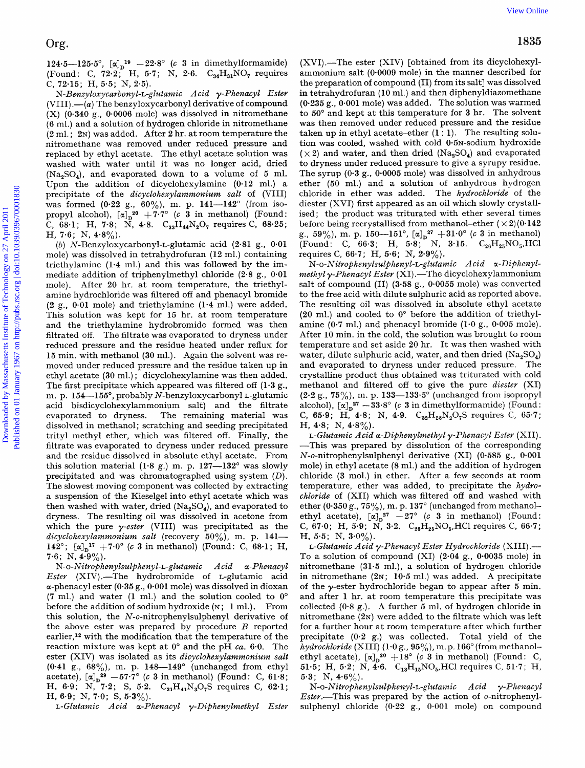Org.<br>124.5—125.5°,  $[\alpha]_D^{19}$  - 22.8° (*c* 3 in dimethylformamide) (Found: C, **72.2;** H, **5-7;** N, **2.6.** C,,H,,NO, requires C, **72.15;** H, **5.5;** N, **2.5).** 

*N-Benzyloxycarbonyl-L-glutamic* Acid y-Phenacyl Ester  $(VIII)$  .—(a) The benzyloxycarbonyl derivative of compound (X) **(0-340** g., **0.0006** mole) was dissolved in nitromethane **(6** ml.) and a solution of hydrogen chloride in nitromethane **(2** ml. ; **2~)** was added. After **2** hr. at room temperature the nitromethane was removed under reduced pressure and replaced by ethyl acetate. The ethyl acetate solution was washed with water until it was no longer acid, dried  $(Na, SO<sub>4</sub>)$ , and evaporated down to a volume of 5 ml. Upon the addition of dicyclohexylamine **(0.12** ml.) a precipitate of the dicyclohexylammonium salt of (VIII) was formed **(0.22** g., **60%),** m. p. **141-142"** (from isopropyl alcohol),  $[\alpha]_n^{20} + 7.7^{\circ}$  (c 3 in methanol) (Found: C,  $68.1$ ; H,  $7.8$ ; N,  $4.8$ .  $C_{33}H_{44}N_2O_7$  requires C,  $68.25$ ;  $H, 7.6$ ;  $N, 4.8\%$ ).

*(b)* N-Benzyloxycarbonyl-L-glutamic acid **(2.81** g., **0.01**  mole) was dissolved in tetrahydrofuran **(12** ml.) containing triethylamine **(1.4** ml.) and this was followed by the immediate addition of triphenylmethyl chloride **(2.8** g., **0.01**  mole). After **20** hr. at room temperature, the triethylamine hydrochloride was filtered off and phenacyl bromide **(2** g., **0.01** mole) and triethylamine **(1.4** ml.) were added. This solution was kept for **15** hr. at room temperature and the triethylamine hydrobromide formed was then filtrated off. The filtrate was evaporated to dryness under reduced pressure and the residue heated under reflux for **15** min. with methanol **(30** ml.). Again the solvent was removed under reduced pressure and the residue taken up in ethyl acetate **(30** ml.) ; dicyclohexylamine was then added. The first precipitate which appeared was filtered off **(1.3** g., m. p. 154—155°, probably N-benzyloxycarbonyl L-glutamic acid bisdicyclohexylammonium salt) and the filtrate evaporated to dryness. The remaining material was dissolved in methanol; scratching and seeding precipitated trityl methyl ether, which was filtered **off.** Finally, the filtrate was evaporated to dryness under reduced pressure and the residue dissolved in absolute ethyl acetate. From this solution material **(1.8** g.) m. p. **127-132'** was slowly precipitated and was chromatographed using system *(D)* . The slowest moving component was collected by extracting a suspension of the Kieselgel into ethyl acetate which was then washed with water, dried  $(Na<sub>2</sub>SO<sub>4</sub>)$ , and evaporated to dryness. The resulting oil was dissolved in acetone from which the pure  $\gamma$ -ester (VIII) was precipitated as the dicyclohexylammonium salt (recovery 50%), m. p. 141-142°;  $[\alpha]_n^1$ <sup>17</sup> + 7.0° (c 3 in methanol) (Found: C, 68.1; H, **7.6;** N, **4.9%).**  Org.<br>
1964—1968, [ $\mu_{\text{B}} = 128.9$  ( $\mu_{\text{B}} = 128.9$  ( $\mu_{\text{B}} = 128.9$  ( $\mu_{\text{B}} = 128.9$  ( $\mu_{\text{B}} = 128.9$  Mass are the state of the state of the state of the state of the state of the state of the state of the state

*N-o-Nitrophenylsulphenyl-L-glutamic* Acid a-Phenacyl Ester  $(XIV)$ . The hydrobromide of L-glutamic acid a-phenacyl ester **(0-35** g., **0-001** mole) was dissolved in dioxan  $(7 \text{ ml.})$  and water  $(1 \text{ ml.})$  and the solution cooled to  $0^{\circ}$ before the addition of sodium hydroxide (N; **1** ml.). From this solution, the **N-o-nitrophenylsulphenyl** derivative of the above ester was prepared by procedure *B* reported earlier,12 with the modification that the temperature of the reaction mixture was kept at 0" and the **pH** ca. **6.0.** The ester (XIV) was isolated as its dicyclohexylammonium *salt*  **(0.41** g., **68%),** m. p. **148-149"** (unchanged from ethyl acetate),  $[\alpha]_p^{29} -57.7^{\circ}$  (c 3 in methanol) (Found: C, 61.8; H,  $6.9$ ; N,  $7.2$ ; S,  $5.2$ .  $C_{31}H_{41}N_{3}O_{7}S$  requires C,  $62.1$ ; H, **6.9;** N, **7.0;** *S,* **5.3%).** 

L-Glutamic Acid a-Phenacyl y-Diphenylmethyl Ester

Org. **1835** 

 $(XVI)$ . The ester  $(XIV)$  [obtained from its dicyclohexylammonium salt **(0.0009** mole) in the manner described for the preparation of compound (11) from its salt] was dissolved in tetrahydrofuran **(10** ml.) and then diphenyldiazomethane **(0-235** g., **0.001** mole) was added. The solution was warmed to **50"** and kept at this temperature for **3** hr. The solvent was then removed under reduced pressure and the residue taken up in ethyl acetate-ether  $(1:1)$ . The resulting solution was cooled, washed with cold 0.5N-sodium hydroxide  $(\times 2)$  and water, and then dried (Na<sub>2</sub>SO<sub>4</sub>) and evaporated to dryness under reduced pressure to give a syrupy residue. The syrup **(0.3 g.,** 0.0005 mole) was dissolved in anhydrous ether **(50** ml.) and a solution of anhydrous hydrogen chloride in ether was added, The hydrochloride of the diester (XVI) first appeared as an oil which slowly crystallised; the product was triturated with ether several times before being recrystallised from methanol-ether  $(\times 2)(0.142)$ *g.*, 59%), m. p. 150—151°,  $[\alpha]_p^{27} + 31.0^{\circ}$  (c 3 in methanol) (Found: C, **66.3;** H, **5-8;** N, **3.15.** C,,H,,NO,,HCl requires C, **66.7;** H, **5.6;** N, **2.9%).** 

*N-o-Nitrop~~enylsulpJ~enyl-L-glutamic* Acid a-Diphenylmethyl  $\gamma$ -Phenacyl Ester (XI).—The dicyclohexylammonium salt of compound (11) **(3.58** g., **0-0055** mole) was converted to the free acid with dilute sulphuric acid as reported above. The resulting oil was dissolved in absolute ethyl acetate **(20** ml.) and cooled to 0" before the addition of triethylamine **(0.7** ml.) and phenacyl bromide **(1.0** g., **0.005** mole). After **10** min. in the cold, the solution was brought to room temperature and set aside **20** hr. It was then washed with water, dilute sulphuric acid, water, and then dried  $(Na<sub>2</sub>SO<sub>4</sub>)$ and evaporated to dryness under reduced pressure. The crystalline product thus obtained was triturated with cold methanol and filtered off to give the pure diester (XI) **(2.2** g., **75%),** m. p. **133-133.5"** (unchanged from isopropyl alcohol),  $\left[\alpha\right]_{2}^{37} - 33.8^\circ$  *(c 3 in dimethylformamide)* (Found: C, **65.9;** H, **4.8;** N, **4.9.** C,,H,,N,O,S requires C, **65-7;**  H, **4.8;** N, **4.8%).** 

L-Glutamic Acid  $\alpha$ -Diphenylmethyl  $\gamma$ -Phenacyl Ester (XII).<br>-This was prepared by dissolution of the corresponding N-o-nitrophenylsulphenyl derivative (XI) (0.585 **g., 0.001**  mole) in ethyl acetate (8 ml.) and the addition of hydrogen chloride **(3** mol.) in ether. After a few seconds at room temperature, ether was added, to precipitate the hydrochloride of (XII) which was filtered *off* and washed with ether  $(0.350 \text{ g}., 75\%)$ , m. p.  $137^\circ$  (unchanged from methanolethyl acetate),  $[\alpha]_n^{27}$  -27° *(c* 3 in methanol) (Found: C,  $67.0$ ; H,  $5.9$ ; N,  $3.2$ .  $C_{26}H_{25}NO_5$ , HCl requires C,  $66.7$ ; H, **5.5;** N, **3.0%).** 

L-Glutamic Acid y-Phenacyl Ester Hydrochloride (XIII) .- To a solution **of** compound (XI) **(2.04** g., **0.0035** mole) in nitromethane **(31.5** ml.), a solution of hydrogen chloride in nitromethane (2<sub>N</sub>; 10.5 ml.) was added. A precipitate of the y-ester hydrochloride began to appear after **5** min. and after **1** hr. at room temperature this precipitate was collected (0.8 g.). A further **5** ml. of hydrogen chloride in nitromethane (2N) were added to the filtrate which was left for a further hour at room temperature after which further precipitate **(0.2** g.) was collected. Total yield of the  $hydrochloride$  (XIII)  $(1.0 \text{ g}., 95\%)$ , m.p.  $166^{\circ}$  (from methanolethyl acetate),  $[\alpha]_n^{20} + 18^\circ$  (c 3 in methanol) (Found: C, **51.5;** H, **5.2;** N, **4.6.** C,,HI5NO5,HC1 requires C, **51.7;** H,  $5.3; N, 4.6\%$ ).

*N-o-NitroPhenylsulphenyE-L-glutanzic* Acid y-Phenacyl *Ester.*—This was prepared by the action of  $o$ -nitrophenylsulphenyl chloride **(0-22** g., **0.001** mole) on compound